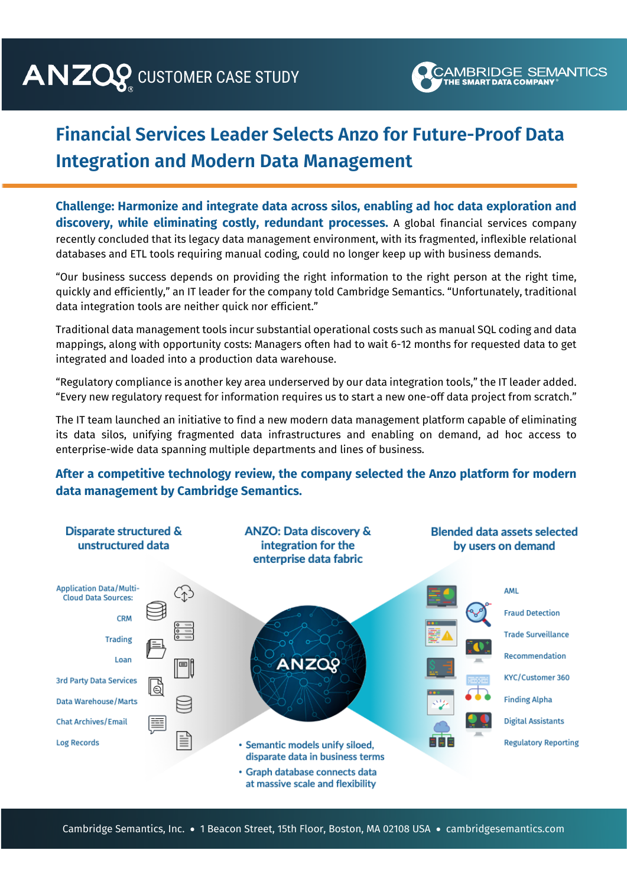## CUSTOMER CASE STUDY THE SMART DATA COMPANY SEIVE



## **Financial Services Leader Selects Anzo for Future-Proof Data Integration and Modern Data Management**

**Challenge: Harmonize and integrate data across silos, enabling ad hoc data exploration and grated, scientific research portal.** A leading petrochemical manufacturer found it was taking too long to bring new **discovery, while eliminating costly, redundant processes.** A global financial services company recently concluded that its legacy data management environment, with its fragmented, inflexible relational databases and ETL tools requiring manual coding, could no longer keep up with business demands. **Challenge: Optimize the entire product innovation process by transforming data silos into a fully inte**cumonize and integrate data across siles enabling ad hes data evaleration

"Our business success depends on providing the right information to the right person at the right time, quickly and efficiently," an IT leader for the company told Cambridge Semantics. "Unfortunately, traditional data integration tools are neither quick nor efficient."

Traditional data management tools incur substantial operational costs such as manual SQL coding and data mappings, along with opportunity costs: Managers often had to wait 6-12 months for requested data to get integrated and loaded into a production data warehouse. including multiple Electronic Laboratory Information Management Systems (LIMS), Laboratory Intelligence and Lims

"Regulatory compliance is another key area underserved by our data integration tools," the IT leader added. "Every new regulatory request for information requires us to start a new one-off data project from scratch."

The IT team launched an initiative to find a new modern data management platform capable of eliminating *"What are the common "What are the most*  its data silos, unifying fragmented data infrastructures and enabling on demand, ad hoc access to  *molecular attributes of of materials with materials should be* enterprise-wide data spanning multiple departments and lines of business. *our most sustainable*  e-wide data spanning multiple departments and lin w modern data management platform capable of elimin<br>. rts data shos, annying nagmented data innastractures and enabling on demand<br>enterprise-wide data spanning multiple departments and lines of business. *prioritized for pilot* 

## **After a competitive technology review, the company selected the Anzo platform for modern data management by Cambridge Semantics.**